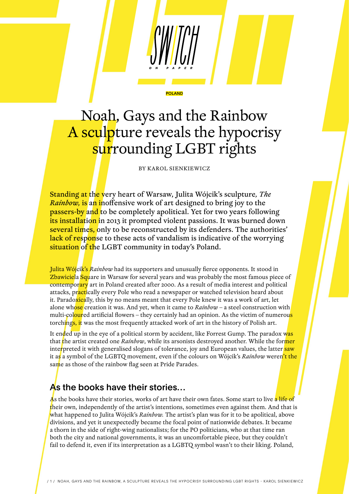# Noah, Gays and the Rainbow A sculpture reveals the hypocrisy surrounding LGBT rights

**POLAND** 

BY KAROL SIENKIEWICZ

Standing at the very heart of Warsaw, Julita Wójcik's sculpture*, The Rainbow,* is an inoffensive work of art designed to bring joy to the **passers-by and to be completely apolitical. Yet for two years following** its installation in 2013 it prompted violent passions. It was burned down several times, only to be reconstructed by its defenders. The authorities' lack of response to these acts of vandalism is indicative of the worrying situation of the LGBT community in today's Poland.

Julita Wójcik's *Rainbow* had its supporters and unusually fierce opponents. It stood in Zbawiciela Square in Warsaw for several years and was probably the most famous piece of contemporary art in Poland created after 2000. As a result of media interest and political attacks, practically every Pole who read a newspaper or watched television heard about it. Paradoxically, this by no means meant that every Pole knew it was a work of art, let alone whose creation it was. And yet, when it came to *Rainbow* – a steel construction with multi-coloured artificial flowers – they certainly had an opinion. As the victim of numerous torchings, it was the most frequently attacked work of art in the history of Polish art.

It ended up in the eye of a political storm by accident, like Forrest Gump. The paradox was that the artist created one *Rainbow*, while its arsonists destroyed another. While the former interpreted it with generalised slogans of tolerance, joy and European values, the latter saw it as a symbol of the LGBTQ movement, even if the colours on Wójcik's *Rainbow* weren't the same as those of the rainbow flag seen at Pride Parades.

#### As the books have their stories…

As the books have their stories, works of art have their own fates. Some start to live a life of their own, independently of the artist's intentions, sometimes even against them. And that is what happened to Julita Wójcik's *Rainbow.* The artist's plan was for it to be apolitical, above divisions, and yet it unexpectedly became the focal point of nationwide debates. It became a thorn in the side of right-wing nationalists; for the PO politicians, who at that time ran both the city and national governments, it was an uncomfortable piece, but they couldn't fail to defend it, even if its interpretation as a LGBTQ symbol wasn't to their liking. Poland,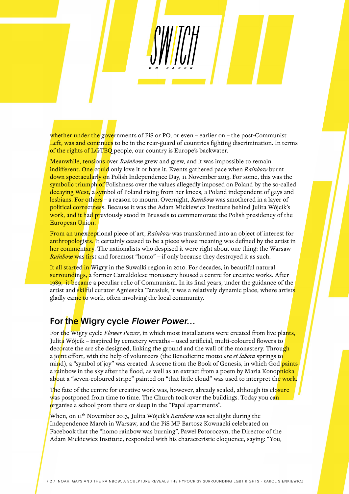whether under the governments of PiS or PO, or even – earlier on – the post-Communist Left, was and continues to be in the rear-guard of countries fighting discrimination. In terms of the rights of LGTBQ people, our country is Europe's backwater.

Meanwhile, tensions over *Rainbow* grew and grew, and it was impossible to remain indifferent. One could only love it or hate it. Events gathered pace when *Rainbow* burnt down spectacularly on Polish Independence Day, 11 November 2013. For some, this was the symbolic triumph of Polishness over the values allegedly imposed on Poland by the so-called decaying West, a symbol of Poland rising from her knees, a Poland independent of gays and lesbians. For others – a reason to mourn. Overnight, *Rainbow* was smothered in a layer of political correctness. Because it was the Adam Mickiewicz Institute behind Julita Wójcik's work, and it had previously stood in Brussels to commemorate the Polish presidency of the European Union.

From an unexceptional piece of art, *Rainbow* was transformed into an object of interest for anthropologists. It certainly ceased to be a piece whose meaning was defined by the artist in her commentary. The nationalists who despised it were right about one thing: the Warsaw *Rainbow* was first and foremost "homo" – if only because they destroyed it as such.

It all started in Wigry in the Suwalki region in 2010. For decades, in beautiful natural surroundings, a former Camaldolese monastery housed a centre for creative works. After 1989, it became a peculiar relic of Communism. In its final years, under the guidance of the artist and skilful curator Agnieszka Tarasiuk, it was a relatively dynamic place, where artists gladly came to work, often involving the local community.

# For the Wigry cycle Flower Power...

For the Wigry cycle *Flower Power*, in which most installations were created from live plants, Julita Wójcik – inspired by cemetery wreaths – used artificial, multi-coloured flowers to decorate the arc she designed, linking the ground and the wall of the monastery. Throug<mark>h</mark> a joint effort, with the help of volunteers (the Benedictine motto *ora et labora* springs to mind), a "symbol of joy" was created. A scene from the Book of Genesis, in which God paints a r<mark>a</mark>inbow in the sky after the flood, as well as an extract from a poem by Maria Konop<mark>nicka</mark> about a "seven-coloured stripe" painted on "that little cloud" was used to interpret th<mark>e work.</mark>

The fate of the centre for creative work was, however, already sealed, although its closure was postponed from time to time. The Church took over the buildings. Today you can organise a school prom there or sleep in the "Papal apartments".

When, on 11th November 2013, Julita Wójcik's *Rainbow* was set alight during the Independence March in Warsaw, and the PiS MP Bartosz Kownacki celebrated on Facebook that the "homo rainbow was burning", Paweł Potoroczyn, the Director of the Adam Mickiewicz Institute, responded with his characteristic eloquence, saying: "You,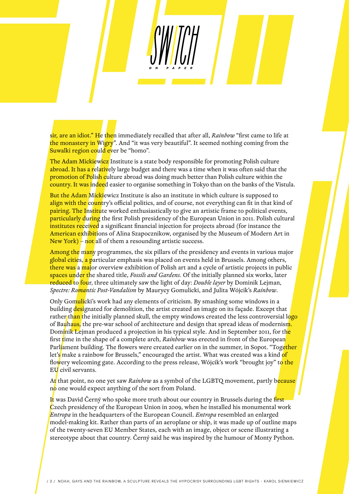sir, are an idiot." He then immediately recalled that after all, *Rainbow* "first came to life at the monastery in Wigry". And "it was very beautiful". It seemed nothing coming from the Suwalki region could ever be "homo".

The Adam Mickiewicz Institute is a state body responsible for promoting Polish culture abroad. It has a relatively large budget and there was a time when it was often said that the promotion of Polish culture abroad was doing much better than Polish culture within the country. It was indeed easier to organise something in Tokyo than on the banks of the Vistula.

But the Adam Mickiewicz Institute is also an institute in which culture is supposed to align with the country's official politics, and of course, not everything can fit in that kind of pairing. The Institute worked enthusiastically to give an artistic frame to political events, particularly during the first Polish presidency of the European Union in 2011. Polish cultural institutes received a significant financial injection for projects abroad (for instance the American exhibitions of Alina Szapocznikow, organised by the Museum of Modern Art in New York) – not all of them a resounding artistic success.

Among the many programmes, the six pillars of the presidency and events in various major global cities, a particular emphasis was placed on events held in Brussels. Among others, there was a major overview exhibition of Polish art and a cycle of artistic projects in public spaces under the shared title, *Fossils and Gardens.* Of the initially planned six works, later reduced to four, three ultimately saw the light of day: *Double layer* by Dominik Lejman, *Spectre: Romantic Post-Vandalism* by Maurycy Gomulicki, and Julita Wójcik's *Rainbow*.

Only Gomulicki's work had any elements of criticism. By smashing some windows in a building designated for demolition, the artist created an image on its façade. Except that rather than the initially planned skull, the empty windows created the less controversial logo of Bauhaus, the pre-war school of architecture and design that spread ideas of modernism. Dominik Lejman produced a projection in his typical style. And in September 2011, for the first time in the shape of a complete arch, *Rainbow* was erected in front of the European Parliament building. The flowers were created earlier on in the summer, in Sopot. "Together let's make a rainbow for Brussels," encouraged the artist. What was created was a kind of flowery welcoming gate. According to the press release, Wójcik's work "brought joy" to the EU civil servants.

At that point, no one yet saw *Rainbow* as a symbol of the LGBTQ movement, partly because no one would expect anything of the sort from Poland.

It was David Černý who spoke more truth about our country in Brussels during the first Czech presidency of the European Union in 2009, when he installed his monumental work *Entropa* in the headquarters of the European Council. *Entropa* resembled an enlarged model-making kit. Rather than parts of an aeroplane or ship, it was made up of outline maps of the twenty-seven EU Member States, each with an image, object or scene illustrating a stereotype about that country. Černý said he was inspired by the humour of Monty Python.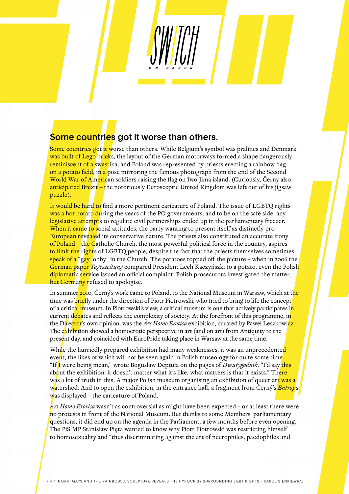## Some countries got it worse than others.

Some countries got it worse than others. While Belgium's symbol was pralines and Denmark was built of Lego bricks, the layout of the German motorways formed a shape dangerously reminiscent of a swastika, and Poland was represented by priests erecting a rainbow flag on a potato field, in a pose mirroring the famous photograph from the end of the Second World War of American soldiers raising the flag on Iwo Jima island. (Curiously, Černý also anticipated Brexit – the notoriously Eurosceptic United Kingdom was left out of his jigsaw puzzle).

It would be hard to find a more pertinent caricature of Poland. The issue of LGBTQ rights was a hot potato during the years of the PO governments, and to be on the safe side, any legislative attempts to regulate civil partnerships ended up in the parliamentary freezer. When it came to social attitudes, the party wanting to present itself as distinctly pro-European revealed its conservative nature. The priests also constituted an accurate irony of Poland – the Catholic Church, the most powerful political force in the country, aspires to limit the rights of LGBTQ people, despite the fact that the priests themselves sometimes speak of a "gay lobby" in the Church. The potatoes topped off the picture – when in 2006 the German paper *Tageszeitung* compared President Lech Kaczyńszki to a potato, even the Polish diplomatic service issued an official complaint. Polish prosecutors investigated the matter, but Germany refused to apologise.

In summer 2010, Černý's work came to Poland, to the National Museum in Warsaw, which at the time was briefly under the direction of Piotr Piotrowski, who tried to bring to life the concept of a critic<mark>al m</mark>useum. In Piotrowski's view, a critical museum is one that actively participates i<mark>n</mark> current debates and reflects the complexity of society. At the forefront of this programme, in the Director's own opinion, was the *Ars Homo Erotica* exhibition, curated by Paweł Leszkowicz. The exhibition showed a homoerotic perspective in art (and on art) from Antiquity to the present day, and coincided with EuroPride taking place in Warsaw at the same time.

While the hurriedly prepared exhibition had many weaknesses, it was an unprecedented event, the likes of which will not be seen again in Polish museology for quite some time. "If I were being mean," wrote Bogusław Deptuła on the pages of *Dwutygodnik*, "I'd say this about the exhibition: it doesn't matter what it's like, what matters is that it exists." There was a lot of truth in this. A major Polish museum organising an exhibition of queer art was a watershed. And to open the exhibition, in the entrance hall, a fragment from Černý's *Entropa* was displayed – the caricature of Poland.

*Ars Homo Erotica* wasn't as controversial as might have been expected – or at least there were no protests in front of the National Museum. But thanks to some Members' parliamentary questions, it did end up on the agenda in the Parliament, a few months before even opening. The PiS MP Stanisław Pięta wanted to know why Piotr Piotrowski was restricting himself to homosexuality and "thus discriminating against the art of necrophiles, paedophiles and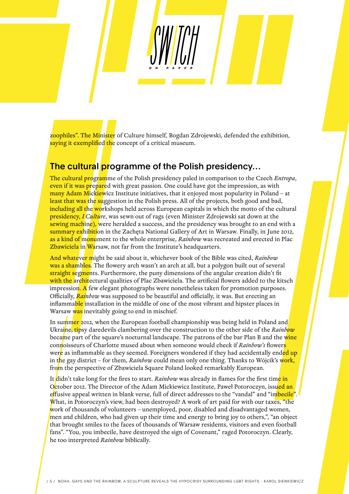zoophiles". The Minister of Culture himself, Bogdan Zdrojewski, defended the exhibition, saying it exemplified the concept of a critical museum.

### The cultural programme of the Polish presidency...

The cultural programme of the Polish presidency paled in comparison to the Czech *Entropa*, even if it was prepared with great passion. One could have got the impression, as with many Adam Mickiewicz Institute initiatives, that it enjoyed most popularity in Poland – at least that was the suggestion in the Polish press. All of the projects, both good and bad, including all the workshops held across European capitals in which the motto of the cultural presidency, *I Culture*, was sewn out of rags (even Minister Zdrojewski sat down at the sewing machine), were heralded a success, and the presidency was brought to an end with a summary exhibition in the Zacheta National Gallery of Art in Warsaw. Finally, in June 2012, as a kind of monument to the whole enterprise, *Rainbow* was recreated and erected in Plac Zbawiciela in Warsaw, not far from the Institute's headquarters.

And whatever might be said about it, whichever book of the Bible was cited, *Rainbow* was a shambles. The flowery arch wasn't an arch at all, but a polygon built out of several straight segments. Furthermore, the puny dimensions of the angular creation didn't fit with the architectural qualities of Plac Zbawiciela. The artificial flowers added to the kitsch impression. A few elegant photographs were nonetheless taken for promotion purposes. Officially, *Rainbow* was supposed to be beautiful and officially, it was. But erecting an inflammable installation in the middle of one of the most vibrant and hipster places in Warsaw was inevitably going to end in mischief.

In summer 2012, when the European football championship was being held in Poland and Ukraine, tipsy daredevils clambering over the construction to the other side of the *Rainbow* became part of the square's nocturnal landscape. The patrons of the bar Plan B and the wine connoisseurs of Charlotte mused about when someone would check if *Rainbow's* flowers were as inflammable as they seemed. Foreigners wondered if they had accidentally ended up in the gay district – for them, *Rainbow* could mean only one thing. Thanks to Wójcik's work, from the perspective of Zbawiciela Square Poland looked remarkably European.

It didn't take long for the fires to start. *Rainbow* was already in flames for the first time in October 2012. The Director of the Adam Mickiewicz Institute, Paweł Potoroczyn, issued an effusive appeal written in blank verse, full of direct addresses to the "vandal" and "imbecile". What, in Potoroczyn's view, had been destroyed? A work of art paid for with our taxes, "the work of thousands of volunteers – unemployed, poor, disabled and disadvantaged women, men and children, who had given up their time and energy to bring joy to others,", "an object that brought smiles to the faces of thousands of Warsaw residents, visitors and even football fans". "You, you imbecile, have destroyed the sign of Covenant," raged Potoroczyn. Clearly, he too interpreted *Rainbow* biblically.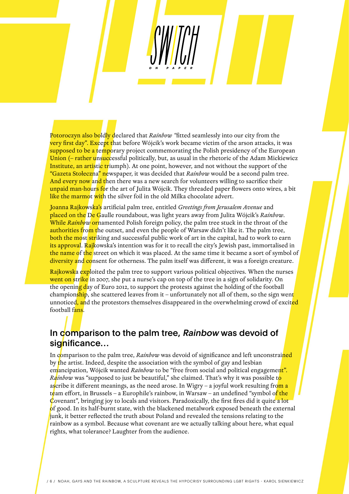Potoroczyn also boldly declared that *Rainbow "*fitted seamlessly into our city from the very first day". Except that before Wójcik's work became victim of the arson attacks, it was supposed to be a temporary project commemorating the Polish presidency of the European Union (– rather unsuccessful politically, but, as usual in the rhetoric of the Adam Mickiewicz Institute, an artistic triumph). At one point, however, and not without the support of the "Gazeta Stołeczna" newspaper, it was decided that *Rainbow* would be a second palm tree. And every now and then there was a new search for volunteers willing to sacrifice their unpaid man-hours for the art of Julita Wójcik. They threaded paper flowers onto wires, a bit like the marmot with the silver foil in the old Milka chocolate advert.

Joanna Rajkowska's artificial palm tree, entitled *Greetings from Jerusalem Avenue* and placed on the De Gaulle roundabout, was light years away from Julita Wójcik's *Rainbow*. While *Rainbow* ornamented Polish foreign policy, the palm tree stuck in the throat of the authorities from the outset, and even the people of Warsaw didn't like it. The palm tree, both the most striking and successful public work of art in the capital, had to work to earn its approval. Rajkowska's intention was for it to recall the city's Jewish past, immortalised in the name of the street on which it was placed. At the same time it became a sort of symbol of diversity and consent for otherness. The palm itself was different, it was a foreign creature.

Rajkowska exploited the palm tree to support various political objectives. When the nurses went on strike in 2007, she put a nurse's cap on top of the tree in a sign of solidarity. On the opening day of Euro 2012, to support the protests against the holding of the football championship, she scattered leaves from it – unfortunately not all of them, so the sign went unnoticed, and the protestors themselves disappeared in the overwhelming crowd of excited football fans.

### In comparison to the palm tree, Rainbow was devoid of significance...

In comparison to the palm tree, *Rainbow* was devoid of significance and left unconstrained by the artist. Indeed, despite the association with the symbol of gay and lesbian emancipation, Wójcik wanted *Rainbow* to be "free from social and political engagement". *Rainbow* was "supposed to just be beautiful," she claimed. That's why it was possible to ascribe it different meanings, as the need arose. In Wigry – a joyful work resulting from a t<mark>e</mark>am effort, in Brussels – a Europhile's rainbow, in Warsaw – an undefined "symbol o<mark>f the</mark> Covenant", bringing joy to locals and visitors. Paradoxically, the first fires did it quite a lot of good. In its half-burnt state, with the blackened metalwork exposed beneath the external junk, it better reflected the truth about Poland and revealed the tensions relating to the rainbow as a symbol. Because what covenant are we actually talking about here, what equal rights, what tolerance? Laughter from the audience.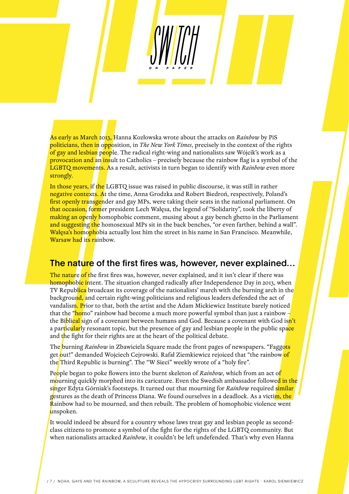As early as March 2013, Hanna Kozłowska wrote about the attacks on *Rainbow* by PiS politicians, then in opposition, in *The New York Times*, precisely in the context of the rights of gay and lesbian people. The radical right-wing and nationalists saw Wójcik's work as a provocation and an insult to Catholics – precisely because the rainbow flag is a symbol of the LGBTQ movements. As a result, activists in turn began to identify with *Rainbow* even more strongly.

In those years, if the LGBTQ issue was raised in public discourse, it was still in rather negative contexts. At the time, Anna Grodzka and Robert Biedroń, respectively, Poland's first openly transgender and gay MPs, were taking their seats in the national parliament. On that occasion, former president Lech Wałęsa, the legend of "Solidarity", took the liberty of making an openly homophobic comment, musing about a gay bench ghetto in the Parliament and suggesting the homosexual MPs sit in the back benches, "or even farther, behind a wall". Wałęsa's homophobia actually lost him the street in his name in San Francisco. Meanwhile, Warsaw had its rainbow.

#### The nature of the first fires was, however, never explained...

The nature of the first fires was, however, never explained, and it isn't clear if there was homophobic intent. The situation changed radically after Independence Day in 2013, when TV Republica broadcast its coverage of the nationalists' march with the burning arch in the background, and certain right-wing politicians and religious leaders defended the act of vandalism. Prior to that, both the artist and the Adam Mickiewicz Institute barely noticed that the "homo" rainbow had become a much more powerful symbol than just a rainbow – the Bi<mark>blical</mark> sign of a covenant between humans and God. Because a covenant with God isn't a particularly resonant topic, but the presence of gay and lesbian people in the public space and the fight for their rights are at the heart of the political debate.

The burning *Rainbow* in Zbawiciela Square made the front pages of newspapers. "Faggots get out!" demanded Wojciech Cejrowski. Rafał Ziemkiewicz rejoiced that "the rainbow of the Third Republic is burning". The "W Sieci" weekly wrote of a "holy fire".

People began to poke flowers into the burnt skeleton of *Rainbow*, which from an act of mourning quickly morphed into its caricature. Even the Swedish ambassador followed in the singer Edyta Górniak's footsteps. It turned out that mourning for *Rainbow* required similar gestures as the death of Princess Diana. We found ourselves in a deadlock. As a victim, the Rainbow had to be mourned, and then rebuilt. The problem of homophobic violence went unspoken.

It would indeed be absurd for a country whose laws treat gay and lesbian people as secondclass citizens to promote a symbol of the fight for the rights of the LGBTQ community. But when nationalists attacked *Rainbow*, it couldn't be left undefended. That's why even Hanna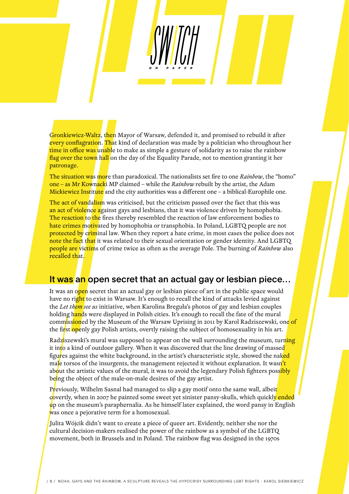Gronkiewicz-Waltz, then Mayor of Warsaw, defended it, and promised to rebuild it after every conflagration. That kind of declaration was made by a politician who throughout her time in office was unable to make as simple a gesture of solidarity as to raise the rainbow flag over the town hall on the day of the Equality Parade, not to mention granting it her patronage.

The situation was more than paradoxical. The nationalists set fire to one *Rainbow*, the "homo" one – as Mr Kownacki MP claimed – while the *Rainbow* rebuilt by the artist, the Adam Mickiewicz Institute and the city authorities was a different one  $-$  a biblical-Europhile one.

The act of vandalism was criticised, but the criticism passed over the fact that this was an act of violence against gays and lesbians, that it was violence driven by homophobia. The reaction to the fires thereby resembled the reaction of law enforcement bodies to hate crimes motivated by homophobia or transphobia. In Poland, LGBTQ people are not protected by criminal law. When they report a hate crime, in most cases the police does not note the fact that it was related to their sexual orientation or gender identity. And LGBTQ people are victims of crime twice as often as the average Pole. The burning of *Rainbow* also recalled that.

#### It was an open secret that an actual gay or lesbian piece...

It was an open secret that an actual gay or lesbian piece of art in the public space would have no right to exist in Warsaw. It's enough to recall the kind of attacks levied against the *Let them see us* initiative, when Karolina Breguła's photos of gay and lesbian couples holding hands were displayed in Polish cities. It's enough to recall the fate of the mural commissioned by the Museum of the Warsaw Uprising in 2011 by Karol Radziszewski, one of the first openly gay Polish artists, overtly raising the subject of homosexuality in his art.

Radziszewski's mural was supposed to appear on the wall surrounding the museum, turning it into a kind of outdoor gallery. When it was discovered that the line drawing of massed figures against the white background, in the artist's characteristic style, showed the naked male torsos of the insurgents, the management rejected it without explanation. It wasn't about the artistic values of the mural, it was to avoid the legendary Polish fighters possibly being the object of the male-on-male desires of the gay artist.

Previously, Wilhelm Sasnal had managed to slip a gay motif onto the same wall, albeit covertly, when in 2007 he painted some sweet yet sinister pansy-skulls, which quickly ended up on the museum's paraphernalia. As he himself later explained, the word pansy in English was once a pejorative term for a homosexual.

Julita Wójcik didn't want to create a piece of queer art. Evidently, neither she nor the cultural decision-makers realised the power of the rainbow as a symbol of the LGBTQ movement, both in Brussels and in Poland. The rainbow flag was designed in the 1970s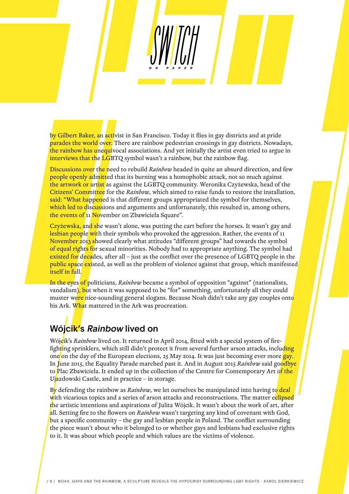by Gilbert Baker, an activist in San Francisco. Today it flies in gay districts and at pride parades the world over. There are rainbow pedestrian crossings in gay districts. Nowadays, the rainbow has unequivocal associations. And yet initially the artist even tried to argue in interviews that the LGBTQ symbol wasn't a rainbow, but the rainbow flag.

Discussions over the need to rebuild *Rainbow* headed in quite an absurd direction, and few people openly admitted that its burning was a homophobic attack, not so much against the artwork or artist as against the LGBTQ community. Weronika Czyżewska, head of the Citizens' Committee for the *Rainbow*, which aimed to raise funds to restore the installation, said: "What happened is that different groups appropriated the symbol for themselves, which led to discussions and arguments and unfortunately, this resulted in, among others, the events of 11 November on Zbawiciela Square".

Czyżewska, and she wasn't alone, was putting the cart before the horses. It wasn't gay and lesbian people with their symbols who provoked the aggression. Rather, the events of 11 November 2013 showed clearly what attitudes "different groups" had towards the symbol of equal rights for sexual minorities. Nobody had to appropriate anything. The symbol had existed for decades, after all – just as the conflict over the presence of LGBTQ people in the public space existed, as well as the problem of violence against that group, which manifested itself in full.

In the eyes of politicians, *Rainbow* became a symbol of opposition "against" (nationalists, vandalism), but when it was supposed to be "for" something, unfortunately all they could muster were nice-sounding general slogans. Because Noah didn't take any gay couples onto his Ark. What mattered in the Ark was procreation.

# Wójcik's Rainbow lived on

Wójcik's *Rainbow* lived on. It returned in April 2014, fitted with a special system of firefighting sprinklers, which still didn't protect it from several further arson attacks, including one on the day of the European elections, 25 May 2014. It was just becoming ever more  $\frac{q}{q}$ In June 2015, the Equality Parade marched past it. And in August 2015 *Rainbow* said goodbye to Plac Zbawiciela. It ended up in the collection of the Centre for Contemporary Art of the Ujazdowski Castle, and in practice – in storage.

By defending the rainbow as *Rainbow*, we let ourselves be manipulated into having to deal with vicarious topics and a series of arson attacks and reconstructions. The matter eclipsed the artistic intentions and aspirations of Julita Wójcik. It wasn't about the work of art, after all. Setting fire to the flowers on *Rainbow* wasn't targeting any kind of covenant with God, but a specific community – the gay and lesbian people in Poland. The conflict surrounding the piece wasn't about who it belonged to or whether gays and lesbians had exclusive rights to it. It was about which people and which values are the victims of violence.